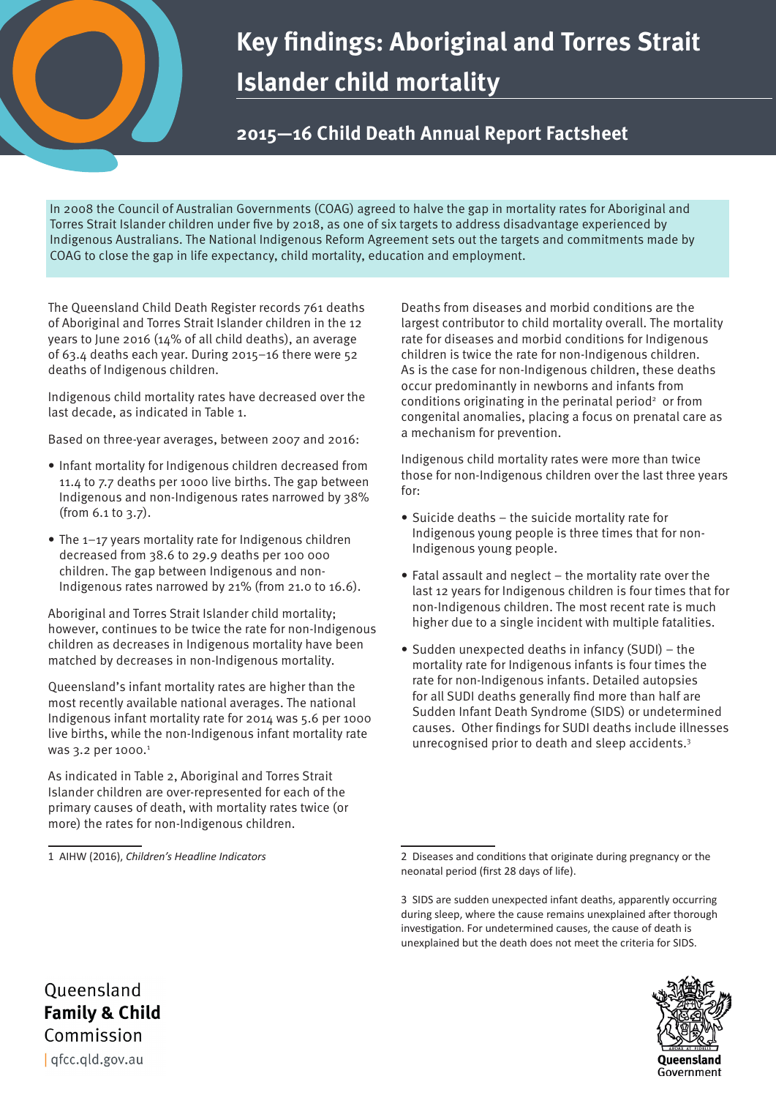# **Key findings: Aboriginal and Torres Strait Islander child mortality**

## **2015—16 Child Death Annual Report Factsheet**

In 2008 the Council of Australian Governments (COAG) agreed to halve the gap in mortality rates for Aboriginal and Torres Strait Islander children under five by 2018, as one of six targets to address disadvantage experienced by Indigenous Australians. The National Indigenous Reform Agreement sets out the targets and commitments made by COAG to close the gap in life expectancy, child mortality, education and employment.

The Queensland Child Death Register records 761 deaths of Aboriginal and Torres Strait Islander children in the 12 years to June 2016 (14% of all child deaths), an average of 63.4 deaths each year. During 2015–16 there were 52 deaths of Indigenous children.

Indigenous child mortality rates have decreased over the last decade, as indicated in Table 1.

Based on three-year averages, between 2007 and 2016:

- Infant mortality for Indigenous children decreased from 11.4 to 7.7 deaths per 1000 live births. The gap between Indigenous and non-Indigenous rates narrowed by 38% (from 6.1 to 3.7).
- The 1-17 years mortality rate for Indigenous children decreased from 38.6 to 29.9 deaths per 100 000 children. The gap between Indigenous and non-Indigenous rates narrowed by 21% (from 21.0 to 16.6).

Aboriginal and Torres Strait Islander child mortality; however, continues to be twice the rate for non-Indigenous children as decreases in Indigenous mortality have been matched by decreases in non-Indigenous mortality.

Queensland's infant mortality rates are higher than the most recently available national averages. The national Indigenous infant mortality rate for 2014 was 5.6 per 1000 live births, while the non-Indigenous infant mortality rate was 3.2 per 1000.<sup>1</sup>

As indicated in Table 2, Aboriginal and Torres Strait Islander children are over-represented for each of the primary causes of death, with mortality rates twice (or more) the rates for non-Indigenous children.

1 AIHW (2016), *Children's Headline Indicators*

Deaths from diseases and morbid conditions are the largest contributor to child mortality overall. The mortality rate for diseases and morbid conditions for Indigenous children is twice the rate for non-Indigenous children. As is the case for non-Indigenous children, these deaths occur predominantly in newborns and infants from conditions originating in the perinatal period<sup>2</sup> or from congenital anomalies, placing a focus on prenatal care as a mechanism for prevention.

Indigenous child mortality rates were more than twice those for non-Indigenous children over the last three years for:

- Suicide deaths the suicide mortality rate for Indigenous young people is three times that for non-Indigenous young people.
- Fatal assault and neglect the mortality rate over the last 12 years for Indigenous children is four times that for non-Indigenous children. The most recent rate is much higher due to a single incident with multiple fatalities.
- Sudden unexpected deaths in infancy (SUDI) the mortality rate for Indigenous infants is four times the rate for non-Indigenous infants. Detailed autopsies for all SUDI deaths generally find more than half are Sudden Infant Death Syndrome (SIDS) or undetermined causes. Other findings for SUDI deaths include illnesses unrecognised prior to death and sleep accidents.3

<sup>3</sup> SIDS are sudden unexpected infant deaths, apparently occurring during sleep, where the cause remains unexplained after thorough investigation. For undetermined causes, the cause of death is unexplained but the death does not meet the criteria for SIDS.



<sup>2</sup> Diseases and conditions that originate during pregnancy or the neonatal period (first 28 days of life).